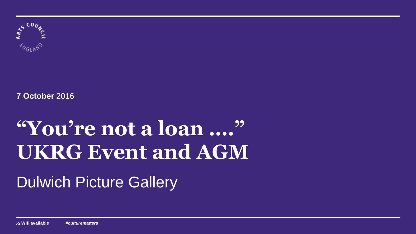

**7 October** 2016

# **"You're not a loan …." UKRG Event and AGM**

# Dulwich Picture Gallery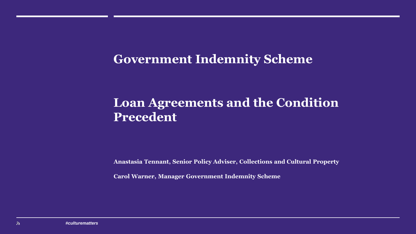### **Government Indemnity Scheme**

# **Loan Agreements and the Condition Precedent**

**Anastasia Tennant, Senior Policy Adviser, Collections and Cultural Property** 

**Carol Warner, Manager Government Indemnity Scheme**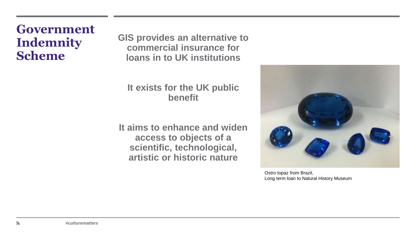### **Government Indemnity Scheme**

**GIS provides an alternative to commercial insurance for loans in to UK institutions** 

### **It exists for the UK public benefit**

**It aims to enhance and widen access to objects of a scientific, technological, artistic or historic nature** 



Ostro topaz from Brazil, Long term loan to Natural History Museum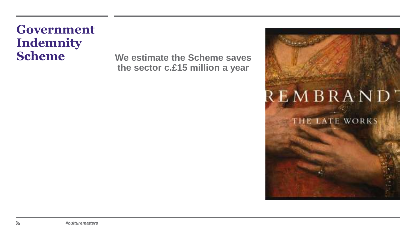# **Government Indemnity**

**Scheme We estimate the Scheme saves the sector c.£15 million a year**

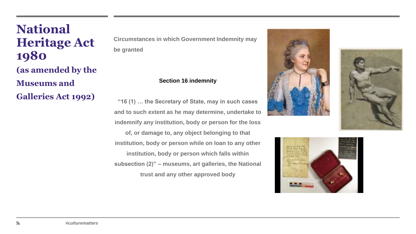### **National Heritage Act 1980 (as amended by the Museums and Galleries Act 1992)**

**Circumstances in which Government Indemnity may be granted**

### **Section 16 indemnity**

**"16 (1) … the Secretary of State, may in such cases and to such extent as he may determine, undertake to indemnify any institution, body or person for the loss of, or damage to, any object belonging to that institution, body or person while on loan to any other institution, body or person which falls within subsection (2)" – museums, art galleries, the National trust and any other approved body** 





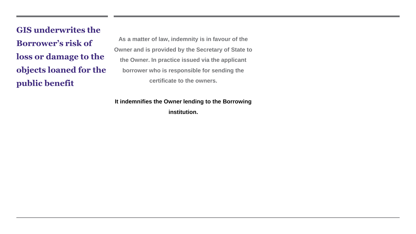**GIS underwrites the Borrower's risk of loss or damage to the objects loaned for the public benefit**

**As a matter of law, indemnity is in favour of the Owner and is provided by the Secretary of State to the Owner. In practice issued via the applicant borrower who is responsible for sending the certificate to the owners.** 

**It indemnifies the Owner lending to the Borrowing institution.**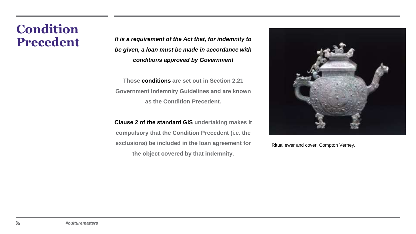# **Condition**

**Precedent** *It is a requirement of the Act that, for indemnity to be given, a loan must be made in accordance with conditions approved by Government*

> **Those conditions are set out in Section 2.21 Government Indemnity Guidelines and are known as the Condition Precedent.**

> **Clause 2 of the standard GIS undertaking makes it compulsory that the Condition Precedent (i.e. the exclusions) be included in the loan agreement for the object covered by that indemnity.**



Ritual ewer and cover, Compton Verney.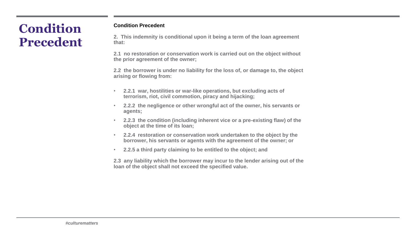# **Condition Precedent**

#### **Condition Precedent**

**2. This indemnity is conditional upon it being a term of the loan agreement that:**

**2.1 no restoration or conservation work is carried out on the object without the prior agreement of the owner;**

**2.2 the borrower is under no liability for the loss of, or damage to, the object arising or flowing from:**

- **2.2.1 war, hostilities or war-like operations, but excluding acts of terrorism, riot, civil commotion, piracy and hijacking;**
- **2.2.2 the negligence or other wrongful act of the owner, his servants or agents;**
- **2.2.3 the condition (including inherent vice or a pre-existing flaw) of the object at the time of its loan;**
- **2.2.4 restoration or conservation work undertaken to the object by the borrower, his servants or agents with the agreement of the owner; or**
- **2.2.5 a third party claiming to be entitled to the object; and**

**2.3 any liability which the borrower may incur to the lender arising out of the loan of the object shall not exceed the specified value.**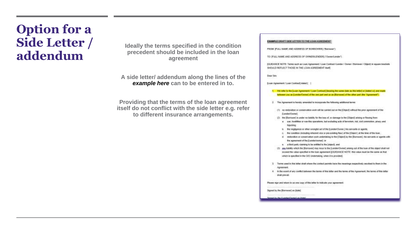# **Option for a Side Letter / addendum**

**Ideally the terms specified in the condition precedent should be included in the loan agreement**

**A side letter/ addendum along the lines of the**  *example here* **can to be entered in to.**

**Providing that the terms of the loan agreement itself do not conflict with the side letter e.g. refer to different insurance arrangements.**

#### EXAMPLE DRAFT SIDE LETTER TO THE LOAN AGREEMENT

FROM (FULL NAME AND ADDRESS OF BORROWER) ("Borrower")

TO: IFULL NAME AND ADDRESS OF OWNERLENDER ("OwnerCender").

SQUIDANCE NOTE: Terms such as Lean Agnosment / Loan Contract ILender / Donner / Borrower / Object) in square brackets SHOULD REFLECT THOSE IN THE LOAN AGREEMENT IN HIS

**Use Say** 

[Loan Agreement/ Loan Centred] dated [ - ]

1. We relect to the [coan Agreement / Loon Contract] (bearing the same date as this tetler) or (stated od and made hitties you as (Londar Owen) of the cost part and us as (Borrower) of the other part (the "Agreement")

2. The Agreement is hereby amended to incorporate the tolerang additional terms.

- (1) no restoration or conservation writt will be carried out an the [Otanci) without the prior agreement of the (Landel/Outres):
- (2) the (Sontower) is under no liability for the loss of, or damage to the (Object) arising or flowing tram:
	- a war, hostitikes or war-like operations, bet excluding acts of terminan, not, civil construction, ginacy and hasking
	- is. The regigence or other unorgial act of the (Lendox/Ounne) was servants or agents.
	- The condition (including inherent vice as pro-existing flaw) of the (Object ) at the time of the loan;
	- it restarzion or conservatiun you's undertaking to the (Digect) by the (Borrowel), his servants or agents with the agreement of the [Landsclowner] or
- 4 a freed party claiming to be entitled to the jobject), and
- (3) and ketelly which the (Serrower) may least to the (Lender/Oween) arrang out of the loan of the object shall red expend the value specified in the loan agreement ((GUIDANCE NOTE: this value must be the same as that which is specified in the GIS Undertaking, when it is provided).
- 3 Terms used in this letter shall where the context pennts have the meanings respectively assotiati to them in the Agreement
- 4 In the same of any coeffict between the terms of this lefter and the lemns of the Agreement, the terms of this letter shall prevail

Please sign and tetum to us one copy of this letter to indicate your agreement.

Signani by the (Bornwear) an (date)

Separative that it ancient bureaut on Islam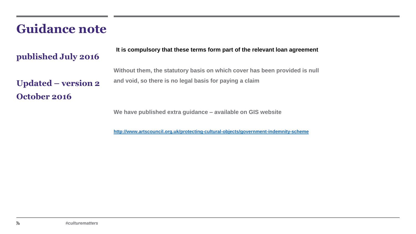### **Guidance note**

### **published July 2016**

**Updated – version 2**

**October 2016**

**It is compulsory that these terms form part of the relevant loan agreement**

**Without them, the statutory basis on which cover has been provided is null and void, so there is no legal basis for paying a claim**

**We have published extra guidance – available on GIS website**

**<http://www.artscouncil.org.uk/protecting-cultural-objects/government-indemnity-scheme>**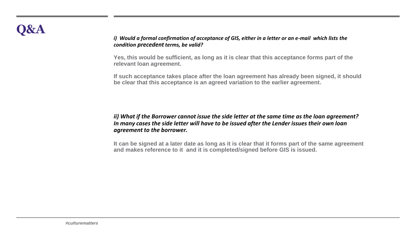### *i) Would a formal confirmation of acceptance of GIS, either in a letter or an e-mail which lists the condition precedent terms, be valid?*

**Yes, this would be sufficient, as long as it is clear that this acceptance forms part of the relevant loan agreement.** 

**If such acceptance takes place after the loan agreement has already been signed, it should be clear that this acceptance is an agreed variation to the earlier agreement.**

*ii) What if the Borrower cannot issue the side letter at the same time as the loan agreement? In many cases the side letter will have to be issued after the Lender issues their own loan agreement to the borrower.* 

**It can be signed at a later date as long as it is clear that it forms part of the same agreement and makes reference to it and it is completed/signed before GIS is issued.**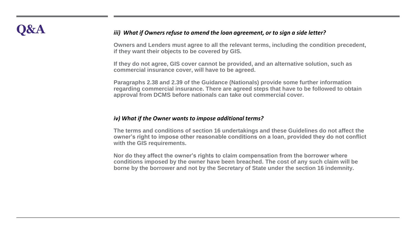### **Q&A** *iii) What if Owners refuse to amend the loan agreement, or to sign a side letter?*

**Owners and Lenders must agree to all the relevant terms, including the condition precedent, if they want their objects to be covered by GIS.** 

**If they do not agree, GIS cover cannot be provided, and an alternative solution, such as commercial insurance cover, will have to be agreed.** 

**Paragraphs 2.38 and 2.39 of the Guidance (Nationals) provide some further information regarding commercial insurance. There are agreed steps that have to be followed to obtain approval from DCMS before nationals can take out commercial cover.**

#### *iv) What if the Owner wants to impose additional terms?*

**The terms and conditions of section 16 undertakings and these Guidelines do not affect the owner's right to impose other reasonable conditions on a loan, provided they do not conflict with the GIS requirements.** 

**Nor do they affect the owner's rights to claim compensation from the borrower where conditions imposed by the owner have been breached. The cost of any such claim will be borne by the borrower and not by the Secretary of State under the section 16 indemnity.**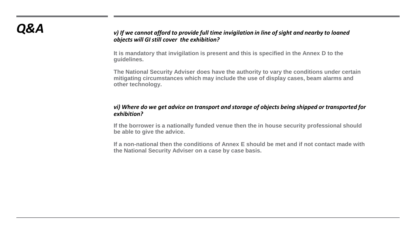### *Q&A v) If we cannot afford to provide full time invigilation in line of sight and nearby to loaned objects will GI still cover the exhibition?*

**It is mandatory that invigilation is present and this is specified in the Annex D to the guidelines.** 

**The National Security Adviser does have the authority to vary the conditions under certain mitigating circumstances which may include the use of display cases, beam alarms and other technology.** 

### *vi) Where do we get advice on transport and storage of objects being shipped or transported for exhibition?*

**If the borrower is a nationally funded venue then the in house security professional should be able to give the advice.** 

**If a non-national then the conditions of Annex E should be met and if not contact made with the National Security Adviser on a case by case basis.**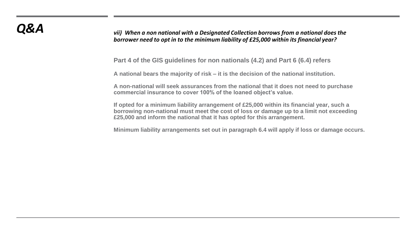*Q&A vii) When a non national with a Designated Collection borrows from a national does the borrower need to opt in to the minimum liability of £25,000 within its financial year?*

**Part 4 of the GIS guidelines for non nationals (4.2) and Part 6 (6.4) refers**

**A national bears the majority of risk – it is the decision of the national institution.**

**A non-national will seek assurances from the national that it does not need to purchase commercial insurance to cover 100% of the loaned object's value.**

**If opted for a minimum liability arrangement of £25,000 within its financial year, such a borrowing non-national must meet the cost of loss or damage up to a limit not exceeding £25,000 and inform the national that it has opted for this arrangement.** 

**Minimum liability arrangements set out in paragraph 6.4 will apply if loss or damage occurs.**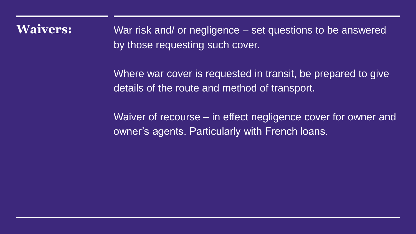**Waivers:** War risk and/ or negligence – set questions to be answered by those requesting such cover.

> Where war cover is requested in transit, be prepared to give details of the route and method of transport.

Waiver of recourse – in effect negligence cover for owner and owner's agents. Particularly with French loans.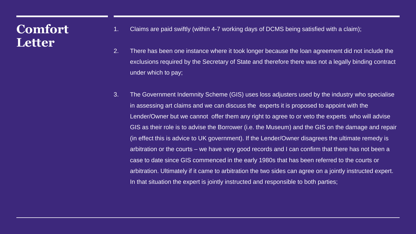# **Comfort Letter**

- 1. Claims are paid swiftly (within 4-7 working days of DCMS being satisfied with a claim);
- 2. There has been one instance where it took longer because the loan agreement did not include the exclusions required by the Secretary of State and therefore there was not a legally binding contract under which to pay;
- 3. The Government Indemnity Scheme (GIS) uses loss adjusters used by the industry who specialise in assessing art claims and we can discuss the experts it is proposed to appoint with the Lender/Owner but we cannot offer them any right to agree to or veto the experts who will advise GIS as their role is to advise the Borrower (i.e. the Museum) and the GIS on the damage and repair (in effect this is advice to UK government). If the Lender/Owner disagrees the ultimate remedy is arbitration or the courts – we have very good records and I can confirm that there has not been a case to date since GIS commenced in the early 1980s that has been referred to the courts or arbitration. Ultimately if it came to arbitration the two sides can agree on a jointly instructed expert. In that situation the expert is jointly instructed and responsible to both parties;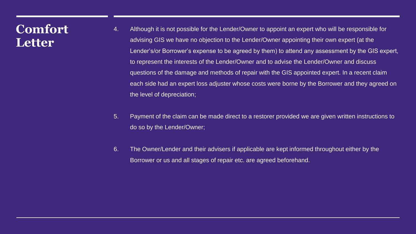### **Comfort Letter**

- 4. Although it is not possible for the Lender/Owner to appoint an expert who will be responsible for advising GIS we have no objection to the Lender/Owner appointing their own expert (at the Lender's/or Borrower's expense to be agreed by them) to attend any assessment by the GIS expert, to represent the interests of the Lender/Owner and to advise the Lender/Owner and discuss questions of the damage and methods of repair with the GIS appointed expert. In a recent claim each side had an expert loss adjuster whose costs were borne by the Borrower and they agreed on the level of depreciation;
- 5. Payment of the claim can be made direct to a restorer provided we are given written instructions to do so by the Lender/Owner;
- 6. The Owner/Lender and their advisers if applicable are kept informed throughout either by the Borrower or us and all stages of repair etc. are agreed beforehand.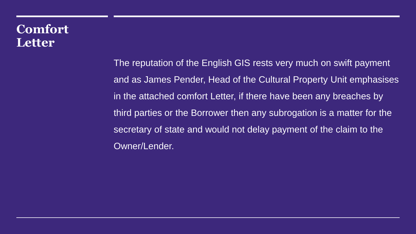# **Comfort Letter**

The reputation of the English GIS rests very much on swift payment and as James Pender, Head of the Cultural Property Unit emphasises in the attached comfort Letter, if there have been any breaches by third parties or the Borrower then any subrogation is a matter for the secretary of state and would not delay payment of the claim to the Owner/Lender.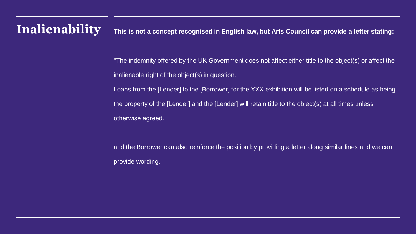# **Inalienability This is not a concept recognised in English law, but Arts Council can provide a letter stating:**

- "The indemnity offered by the UK Government does not affect either title to the object(s) or affect the inalienable right of the object(s) in question.
- Loans from the [Lender] to the [Borrower] for the XXX exhibition will be listed on a schedule as being the property of the [Lender] and the [Lender] will retain title to the object(s) at all times unless otherwise agreed."
- and the Borrower can also reinforce the position by providing a letter along similar lines and we can provide wording.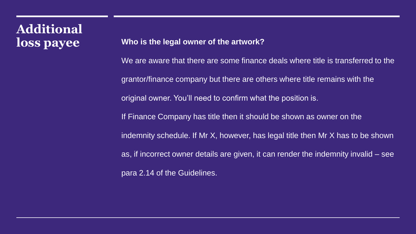# **Additional**

### **loss payee Who is the legal owner of the artwork?**

We are aware that there are some finance deals where title is transferred to the grantor/finance company but there are others where title remains with the original owner. You'll need to confirm what the position is. If Finance Company has title then it should be shown as owner on the indemnity schedule. If Mr X, however, has legal title then Mr X has to be shown as, if incorrect owner details are given, it can render the indemnity invalid – see para 2.14 of the Guidelines.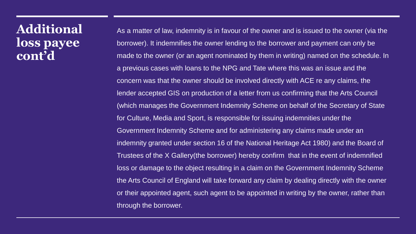### **Additional loss payee cont'd**

As a matter of law, indemnity is in favour of the owner and is issued to the owner (via the borrower). It indemnifies the owner lending to the borrower and payment can only be made to the owner (or an agent nominated by them in writing) named on the schedule. In a previous cases with loans to the NPG and Tate where this was an issue and the concern was that the owner should be involved directly with ACE re any claims, the lender accepted GIS on production of a letter from us confirming that the Arts Council (which manages the Government Indemnity Scheme on behalf of the Secretary of State for Culture, Media and Sport, is responsible for issuing indemnities under the Government Indemnity Scheme and for administering any claims made under an indemnity granted under section 16 of the National Heritage Act 1980) and the Board of Trustees of the X Gallery(the borrower) hereby confirm that in the event of indemnified loss or damage to the object resulting in a claim on the Government Indemnity Scheme the Arts Council of England will take forward any claim by dealing directly with the owner or their appointed agent, such agent to be appointed in writing by the owner, rather than through the borrower.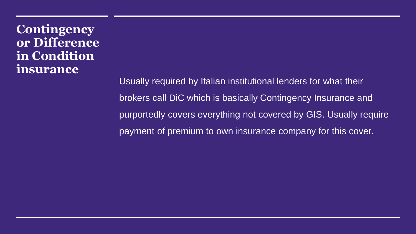**Contingency or Difference in Condition insurance**

> Usually required by Italian institutional lenders for what their brokers call DiC which is basically Contingency Insurance and purportedly covers everything not covered by GIS. Usually require payment of premium to own insurance company for this cover.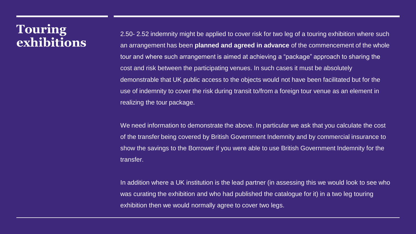### **Touring exhibitions**

2.50- 2.52 indemnity might be applied to cover risk for two leg of a touring exhibition where such an arrangement has been **planned and agreed in advance** of the commencement of the whole tour and where such arrangement is aimed at achieving a "package" approach to sharing the cost and risk between the participating venues. In such cases it must be absolutely demonstrable that UK public access to the objects would not have been facilitated but for the use of indemnity to cover the risk during transit to/from a foreign tour venue as an element in realizing the tour package.

We need information to demonstrate the above. In particular we ask that you calculate the cost of the transfer being covered by British Government Indemnity and by commercial insurance to show the savings to the Borrower if you were able to use British Government Indemnity for the transfer.

In addition where a UK institution is the lead partner (in assessing this we would look to see who was curating the exhibition and who had published the catalogue for it) in a two leg touring exhibition then we would normally agree to cover two legs.